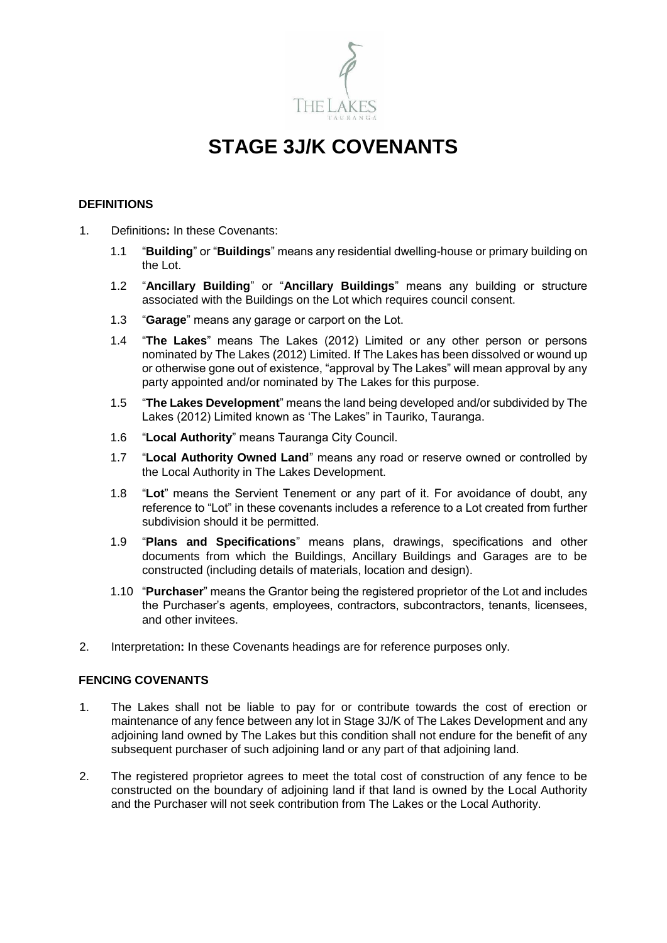

# **STAGE 3J/K COVENANTS**

## **DEFINITIONS**

- 1. Definitions**:** In these Covenants:
	- 1.1 "**Building**" or "**Buildings**" means any residential dwelling-house or primary building on the Lot.
	- 1.2 "**Ancillary Building**" or "**Ancillary Buildings**" means any building or structure associated with the Buildings on the Lot which requires council consent.
	- 1.3 "**Garage**" means any garage or carport on the Lot.
	- 1.4 "**The Lakes**" means The Lakes (2012) Limited or any other person or persons nominated by The Lakes (2012) Limited. If The Lakes has been dissolved or wound up or otherwise gone out of existence, "approval by The Lakes" will mean approval by any party appointed and/or nominated by The Lakes for this purpose.
	- 1.5 "**The Lakes Development**" means the land being developed and/or subdivided by The Lakes (2012) Limited known as 'The Lakes" in Tauriko, Tauranga.
	- 1.6 "**Local Authority**" means Tauranga City Council.
	- 1.7 "**Local Authority Owned Land**" means any road or reserve owned or controlled by the Local Authority in The Lakes Development.
	- 1.8 "**Lot**" means the Servient Tenement or any part of it. For avoidance of doubt, any reference to "Lot" in these covenants includes a reference to a Lot created from further subdivision should it be permitted.
	- 1.9 "**Plans and Specifications**" means plans, drawings, specifications and other documents from which the Buildings, Ancillary Buildings and Garages are to be constructed (including details of materials, location and design).
	- 1.10 "**Purchaser**" means the Grantor being the registered proprietor of the Lot and includes the Purchaser's agents, employees, contractors, subcontractors, tenants, licensees, and other invitees.
- 2. Interpretation**:** In these Covenants headings are for reference purposes only.

## **FENCING COVENANTS**

- 1. The Lakes shall not be liable to pay for or contribute towards the cost of erection or maintenance of any fence between any lot in Stage 3J/K of The Lakes Development and any adjoining land owned by The Lakes but this condition shall not endure for the benefit of any subsequent purchaser of such adjoining land or any part of that adjoining land.
- 2. The registered proprietor agrees to meet the total cost of construction of any fence to be constructed on the boundary of adjoining land if that land is owned by the Local Authority and the Purchaser will not seek contribution from The Lakes or the Local Authority.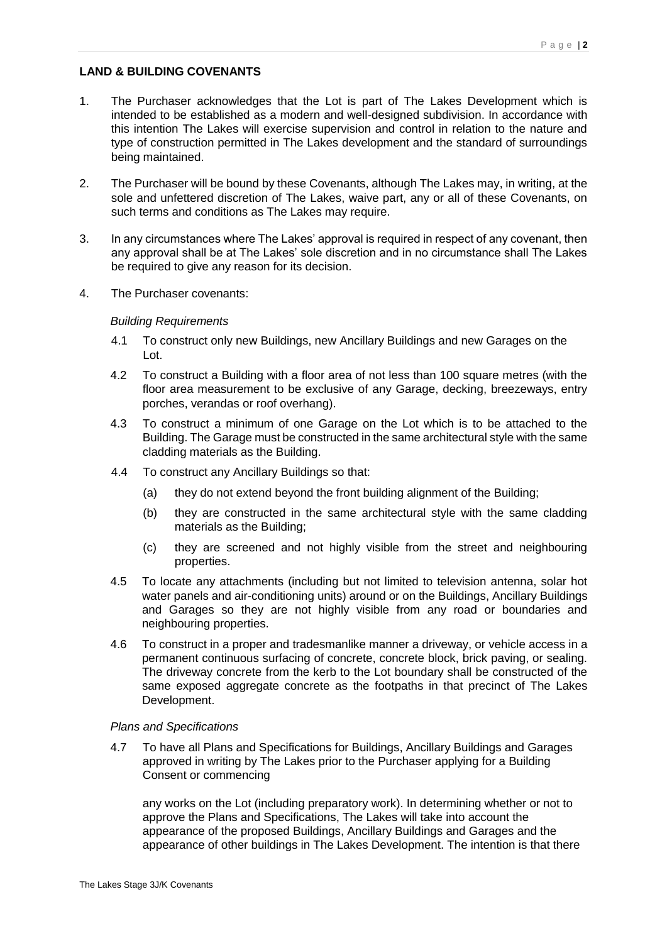## **LAND & BUILDING COVENANTS**

- 1. The Purchaser acknowledges that the Lot is part of The Lakes Development which is intended to be established as a modern and well-designed subdivision. In accordance with this intention The Lakes will exercise supervision and control in relation to the nature and type of construction permitted in The Lakes development and the standard of surroundings being maintained.
- 2. The Purchaser will be bound by these Covenants, although The Lakes may, in writing, at the sole and unfettered discretion of The Lakes, waive part, any or all of these Covenants, on such terms and conditions as The Lakes may require.
- 3. In any circumstances where The Lakes' approval is required in respect of any covenant, then any approval shall be at The Lakes' sole discretion and in no circumstance shall The Lakes be required to give any reason for its decision.
- 4. The Purchaser covenants:

### *Building Requirements*

- 4.1 To construct only new Buildings, new Ancillary Buildings and new Garages on the Lot.
- 4.2 To construct a Building with a floor area of not less than 100 square metres (with the floor area measurement to be exclusive of any Garage, decking, breezeways, entry porches, verandas or roof overhang).
- 4.3 To construct a minimum of one Garage on the Lot which is to be attached to the Building. The Garage must be constructed in the same architectural style with the same cladding materials as the Building.
- 4.4 To construct any Ancillary Buildings so that:
	- (a) they do not extend beyond the front building alignment of the Building;
	- (b) they are constructed in the same architectural style with the same cladding materials as the Building;
	- (c) they are screened and not highly visible from the street and neighbouring properties.
- 4.5 To locate any attachments (including but not limited to television antenna, solar hot water panels and air-conditioning units) around or on the Buildings, Ancillary Buildings and Garages so they are not highly visible from any road or boundaries and neighbouring properties.
- 4.6 To construct in a proper and tradesmanlike manner a driveway, or vehicle access in a permanent continuous surfacing of concrete, concrete block, brick paving, or sealing. The driveway concrete from the kerb to the Lot boundary shall be constructed of the same exposed aggregate concrete as the footpaths in that precinct of The Lakes Development.

#### *Plans and Specifications*

4.7 To have all Plans and Specifications for Buildings, Ancillary Buildings and Garages approved in writing by The Lakes prior to the Purchaser applying for a Building Consent or commencing

any works on the Lot (including preparatory work). In determining whether or not to approve the Plans and Specifications, The Lakes will take into account the appearance of the proposed Buildings, Ancillary Buildings and Garages and the appearance of other buildings in The Lakes Development. The intention is that there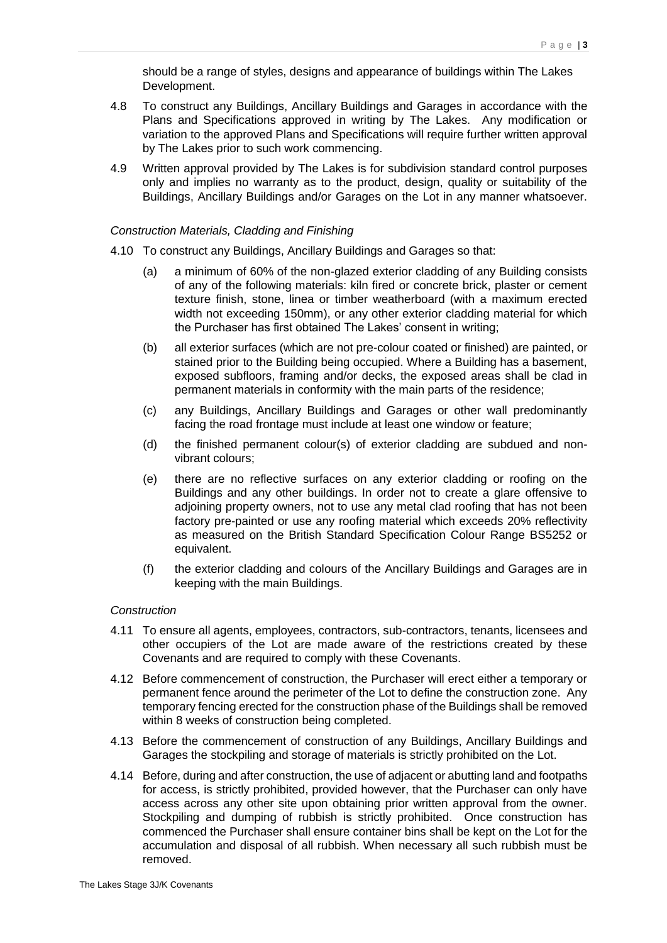should be a range of styles, designs and appearance of buildings within The Lakes Development.

- 4.8 To construct any Buildings, Ancillary Buildings and Garages in accordance with the Plans and Specifications approved in writing by The Lakes. Any modification or variation to the approved Plans and Specifications will require further written approval by The Lakes prior to such work commencing.
- 4.9 Written approval provided by The Lakes is for subdivision standard control purposes only and implies no warranty as to the product, design, quality or suitability of the Buildings, Ancillary Buildings and/or Garages on the Lot in any manner whatsoever.

#### *Construction Materials, Cladding and Finishing*

- 4.10 To construct any Buildings, Ancillary Buildings and Garages so that:
	- (a) a minimum of 60% of the non-glazed exterior cladding of any Building consists of any of the following materials: kiln fired or concrete brick, plaster or cement texture finish, stone, linea or timber weatherboard (with a maximum erected width not exceeding 150mm), or any other exterior cladding material for which the Purchaser has first obtained The Lakes' consent in writing;
	- (b) all exterior surfaces (which are not pre-colour coated or finished) are painted, or stained prior to the Building being occupied. Where a Building has a basement, exposed subfloors, framing and/or decks, the exposed areas shall be clad in permanent materials in conformity with the main parts of the residence;
	- (c) any Buildings, Ancillary Buildings and Garages or other wall predominantly facing the road frontage must include at least one window or feature;
	- (d) the finished permanent colour(s) of exterior cladding are subdued and nonvibrant colours;
	- (e) there are no reflective surfaces on any exterior cladding or roofing on the Buildings and any other buildings. In order not to create a glare offensive to adjoining property owners, not to use any metal clad roofing that has not been factory pre-painted or use any roofing material which exceeds 20% reflectivity as measured on the British Standard Specification Colour Range BS5252 or equivalent.
	- (f) the exterior cladding and colours of the Ancillary Buildings and Garages are in keeping with the main Buildings.

## *Construction*

- 4.11 To ensure all agents, employees, contractors, sub-contractors, tenants, licensees and other occupiers of the Lot are made aware of the restrictions created by these Covenants and are required to comply with these Covenants.
- 4.12 Before commencement of construction, the Purchaser will erect either a temporary or permanent fence around the perimeter of the Lot to define the construction zone. Any temporary fencing erected for the construction phase of the Buildings shall be removed within 8 weeks of construction being completed.
- 4.13 Before the commencement of construction of any Buildings, Ancillary Buildings and Garages the stockpiling and storage of materials is strictly prohibited on the Lot.
- 4.14 Before, during and after construction, the use of adjacent or abutting land and footpaths for access, is strictly prohibited, provided however, that the Purchaser can only have access across any other site upon obtaining prior written approval from the owner. Stockpiling and dumping of rubbish is strictly prohibited. Once construction has commenced the Purchaser shall ensure container bins shall be kept on the Lot for the accumulation and disposal of all rubbish. When necessary all such rubbish must be removed.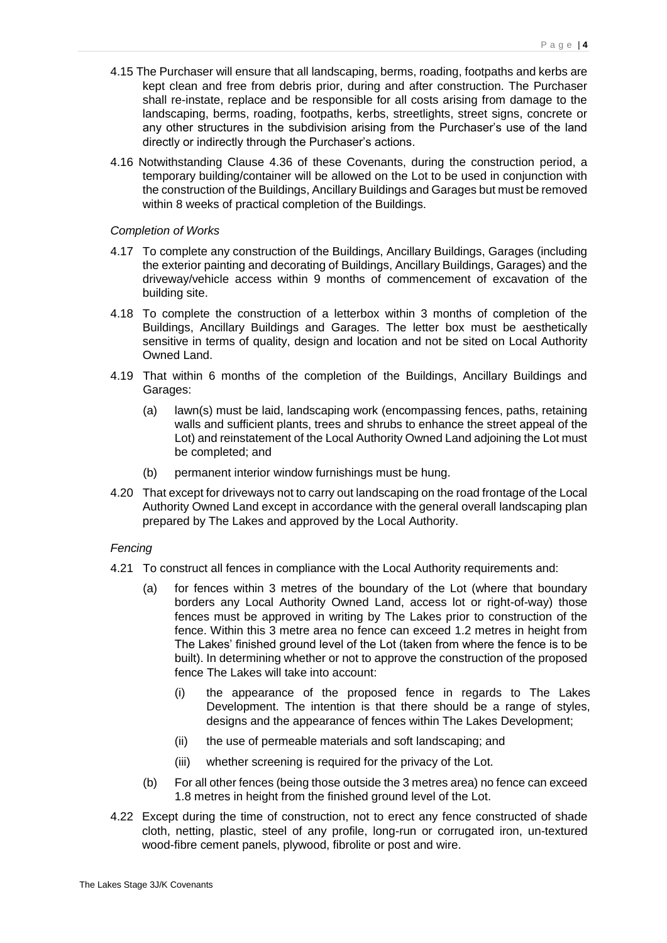- 4.15 The Purchaser will ensure that all landscaping, berms, roading, footpaths and kerbs are kept clean and free from debris prior, during and after construction. The Purchaser shall re-instate, replace and be responsible for all costs arising from damage to the landscaping, berms, roading, footpaths, kerbs, streetlights, street signs, concrete or any other structures in the subdivision arising from the Purchaser's use of the land directly or indirectly through the Purchaser's actions.
- 4.16 Notwithstanding Clause 4.36 of these Covenants, during the construction period, a temporary building/container will be allowed on the Lot to be used in conjunction with the construction of the Buildings, Ancillary Buildings and Garages but must be removed within 8 weeks of practical completion of the Buildings.

#### *Completion of Works*

- 4.17 To complete any construction of the Buildings, Ancillary Buildings, Garages (including the exterior painting and decorating of Buildings, Ancillary Buildings, Garages) and the driveway/vehicle access within 9 months of commencement of excavation of the building site.
- 4.18 To complete the construction of a letterbox within 3 months of completion of the Buildings, Ancillary Buildings and Garages. The letter box must be aesthetically sensitive in terms of quality, design and location and not be sited on Local Authority Owned Land.
- 4.19 That within 6 months of the completion of the Buildings, Ancillary Buildings and Garages:
	- (a) lawn(s) must be laid, landscaping work (encompassing fences, paths, retaining walls and sufficient plants, trees and shrubs to enhance the street appeal of the Lot) and reinstatement of the Local Authority Owned Land adjoining the Lot must be completed; and
	- (b) permanent interior window furnishings must be hung.
- 4.20 That except for driveways not to carry out landscaping on the road frontage of the Local Authority Owned Land except in accordance with the general overall landscaping plan prepared by The Lakes and approved by the Local Authority.

#### *Fencing*

- 4.21 To construct all fences in compliance with the Local Authority requirements and:
	- (a) for fences within 3 metres of the boundary of the Lot (where that boundary borders any Local Authority Owned Land, access lot or right-of-way) those fences must be approved in writing by The Lakes prior to construction of the fence. Within this 3 metre area no fence can exceed 1.2 metres in height from The Lakes' finished ground level of the Lot (taken from where the fence is to be built). In determining whether or not to approve the construction of the proposed fence The Lakes will take into account:
		- (i) the appearance of the proposed fence in regards to The Lakes Development. The intention is that there should be a range of styles, designs and the appearance of fences within The Lakes Development;
		- (ii) the use of permeable materials and soft landscaping; and
		- (iii) whether screening is required for the privacy of the Lot.
	- (b) For all other fences (being those outside the 3 metres area) no fence can exceed 1.8 metres in height from the finished ground level of the Lot.
- 4.22 Except during the time of construction, not to erect any fence constructed of shade cloth, netting, plastic, steel of any profile, long-run or corrugated iron, un-textured wood-fibre cement panels, plywood, fibrolite or post and wire.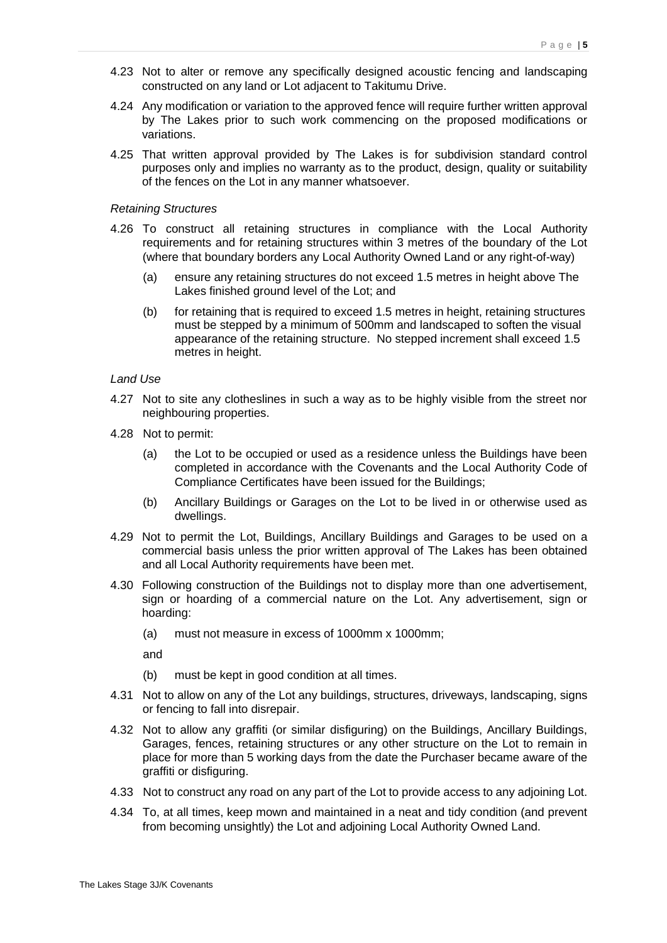- 4.23 Not to alter or remove any specifically designed acoustic fencing and landscaping constructed on any land or Lot adjacent to Takitumu Drive.
- 4.24 Any modification or variation to the approved fence will require further written approval by The Lakes prior to such work commencing on the proposed modifications or variations.
- 4.25 That written approval provided by The Lakes is for subdivision standard control purposes only and implies no warranty as to the product, design, quality or suitability of the fences on the Lot in any manner whatsoever.

#### *Retaining Structures*

- 4.26 To construct all retaining structures in compliance with the Local Authority requirements and for retaining structures within 3 metres of the boundary of the Lot (where that boundary borders any Local Authority Owned Land or any right-of-way)
	- (a) ensure any retaining structures do not exceed 1.5 metres in height above The Lakes finished ground level of the Lot; and
	- (b) for retaining that is required to exceed 1.5 metres in height, retaining structures must be stepped by a minimum of 500mm and landscaped to soften the visual appearance of the retaining structure. No stepped increment shall exceed 1.5 metres in height.

#### *Land Use*

- 4.27 Not to site any clotheslines in such a way as to be highly visible from the street nor neighbouring properties.
- 4.28 Not to permit:
	- (a) the Lot to be occupied or used as a residence unless the Buildings have been completed in accordance with the Covenants and the Local Authority Code of Compliance Certificates have been issued for the Buildings;
	- (b) Ancillary Buildings or Garages on the Lot to be lived in or otherwise used as dwellings.
- 4.29 Not to permit the Lot, Buildings, Ancillary Buildings and Garages to be used on a commercial basis unless the prior written approval of The Lakes has been obtained and all Local Authority requirements have been met.
- 4.30 Following construction of the Buildings not to display more than one advertisement, sign or hoarding of a commercial nature on the Lot. Any advertisement, sign or hoarding:
	- (a) must not measure in excess of 1000mm x 1000mm;

and

- (b) must be kept in good condition at all times.
- 4.31 Not to allow on any of the Lot any buildings, structures, driveways, landscaping, signs or fencing to fall into disrepair.
- 4.32 Not to allow any graffiti (or similar disfiguring) on the Buildings, Ancillary Buildings, Garages, fences, retaining structures or any other structure on the Lot to remain in place for more than 5 working days from the date the Purchaser became aware of the graffiti or disfiguring.
- 4.33 Not to construct any road on any part of the Lot to provide access to any adjoining Lot.
- 4.34 To, at all times, keep mown and maintained in a neat and tidy condition (and prevent from becoming unsightly) the Lot and adjoining Local Authority Owned Land.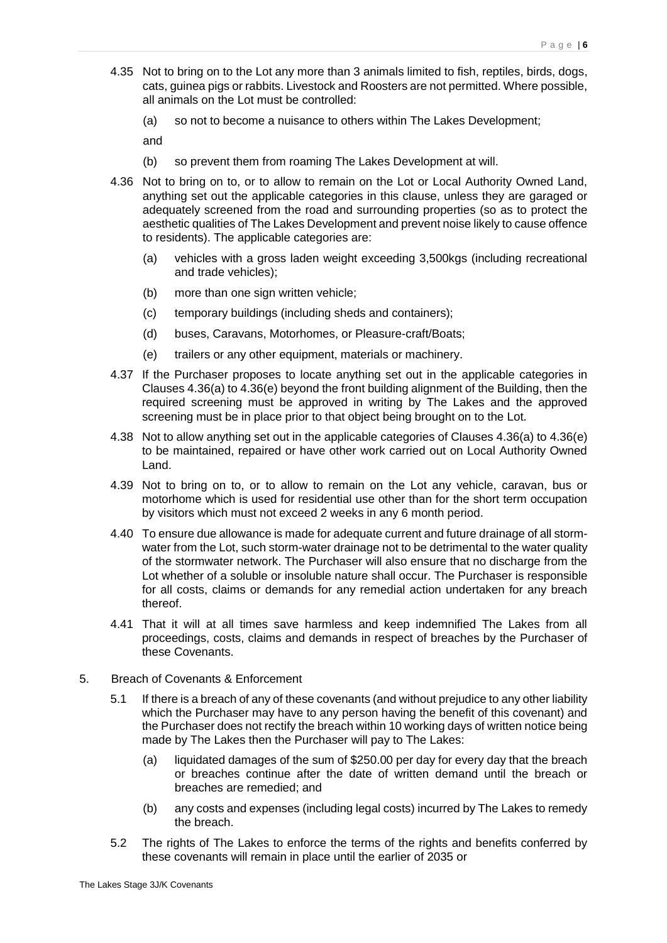- 4.35 Not to bring on to the Lot any more than 3 animals limited to fish, reptiles, birds, dogs, cats, guinea pigs or rabbits. Livestock and Roosters are not permitted. Where possible, all animals on the Lot must be controlled:
	- (a) so not to become a nuisance to others within The Lakes Development;

and

- (b) so prevent them from roaming The Lakes Development at will.
- 4.36 Not to bring on to, or to allow to remain on the Lot or Local Authority Owned Land, anything set out the applicable categories in this clause, unless they are garaged or adequately screened from the road and surrounding properties (so as to protect the aesthetic qualities of The Lakes Development and prevent noise likely to cause offence to residents). The applicable categories are:
	- (a) vehicles with a gross laden weight exceeding 3,500kgs (including recreational and trade vehicles);
	- (b) more than one sign written vehicle:
	- (c) temporary buildings (including sheds and containers);
	- (d) buses, Caravans, Motorhomes, or Pleasure-craft/Boats;
	- (e) trailers or any other equipment, materials or machinery.
- 4.37 If the Purchaser proposes to locate anything set out in the applicable categories in Clauses 4.36(a) to 4.36(e) beyond the front building alignment of the Building, then the required screening must be approved in writing by The Lakes and the approved screening must be in place prior to that object being brought on to the Lot.
- 4.38 Not to allow anything set out in the applicable categories of Clauses 4.36(a) to 4.36(e) to be maintained, repaired or have other work carried out on Local Authority Owned Land.
- 4.39 Not to bring on to, or to allow to remain on the Lot any vehicle, caravan, bus or motorhome which is used for residential use other than for the short term occupation by visitors which must not exceed 2 weeks in any 6 month period.
- 4.40 To ensure due allowance is made for adequate current and future drainage of all stormwater from the Lot, such storm-water drainage not to be detrimental to the water quality of the stormwater network. The Purchaser will also ensure that no discharge from the Lot whether of a soluble or insoluble nature shall occur. The Purchaser is responsible for all costs, claims or demands for any remedial action undertaken for any breach thereof.
- 4.41 That it will at all times save harmless and keep indemnified The Lakes from all proceedings, costs, claims and demands in respect of breaches by the Purchaser of these Covenants.
- 5. Breach of Covenants & Enforcement
	- 5.1 If there is a breach of any of these covenants (and without prejudice to any other liability which the Purchaser may have to any person having the benefit of this covenant) and the Purchaser does not rectify the breach within 10 working days of written notice being made by The Lakes then the Purchaser will pay to The Lakes:
		- (a) liquidated damages of the sum of \$250.00 per day for every day that the breach or breaches continue after the date of written demand until the breach or breaches are remedied; and
		- (b) any costs and expenses (including legal costs) incurred by The Lakes to remedy the breach.
	- 5.2 The rights of The Lakes to enforce the terms of the rights and benefits conferred by these covenants will remain in place until the earlier of 2035 or